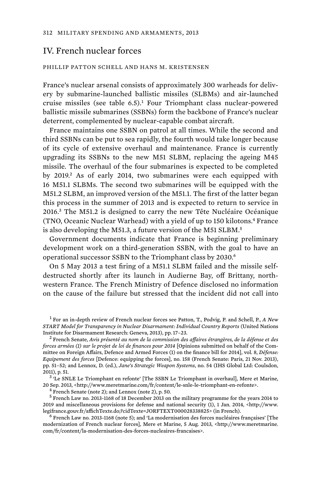## IV. French nuclear forces

## PHILLIP PATTON SCHELL AND HANS M. KRISTENSEN

France's nuclear arsenal consists of approximately 300 warheads for delivery by submarine-launched ballistic missiles (SLBMs) and air-launched cruise missiles (see table 6.5).<sup>1</sup> Four Triomphant class nuclear-powered ballistic missile submarines (SSBNs) form the backbone of France's nuclear deterrent, complemented by nuclear-capable combat aircraft.

France maintains one SSBN on patrol at all times. While the second and third SSBNs can be put to sea rapidly, the fourth would take longer because of its cycle of extensive overhaul and maintenance. France is currently upgrading its SSBNs to the new M51 SLBM, replacing the ageing M45 missile. The overhaul of the four submarines is expected to be completed by 2019.<sup>2</sup> As of early 2014, two submarines were each equipped with 16 M51.1 SLBMs. The second two submarines will be equipped with the M51.2 SLBM, an improved version of the M51.1. The first of the latter began this process in the summer of 2013 and is expected to return to service in 2016.<sup>3</sup> The M51.2 is designed to carry the new Tête Nucléaire Océanique (TNO, Oceanic Nuclear Warhead) with a yield of up to 150 kilotons.<sup>4</sup> France is also developing the M51.3, a future version of the M51 SLBM.<sup>5</sup>

Government documents indicate that France is beginning preliminary development work on a third-generation SSBN, with the goal to have an operational successor SSBN to the Triomphant class by 2030.<sup>6</sup>

On 5 May 2013 a test firing of a M51.1 SLBM failed and the missile selfdestructed shortly after its launch in Audierne Bay, off Brittany, northwestern France. The French Ministry of Defence disclosed no information on the cause of the failure but stressed that the incident did not call into

1 For an in-depth review of French nuclear forces see Patton, T., Podvig, P. and Schell, P., *A New START Model for Transparency in Nuclear Disarmament: Individual Country Reports* (United Nations Institute for Disarmament Research: Geneva, 2013), pp. 17–23. <sup>2</sup>

 French Senate, *Avis présenté au nom de la commission des affaires étrangères, de la défense et des forces armées (1) sur le projet de loi de finances pour 2014 [Opinions submitted on behalf of the Com*mittee on Foreign Affairs, Defence and Armed Forces (1) on the finance bill for 2014], vol. 8, *Défense: Equipement des forces* [Defence: equipping the forces], no. 158 (French Senate: Paris, 21 Nov. 2013), pp. 51–52; and Lennox, D. (ed.), *Jane's Strategic Weapon Systems*, no. 54 (IHS Global Ltd: Coulsdon, 2011), p. 51.

<sup>3</sup> Le SNLE Le Triomphant en refonte' [The SSBN Le Triomphant in overhaul], Mere et Marine, 20 Sep. 2013, <http://www.meretmarine.com/fr/content/le-snle-le-triomphant-en-refonte>.

 $4$  French Senate (note 2); and Lennox (note 2), p. 50.

<sup>5</sup> French Law no. 2013-1168 of 18 December 2013 on the military programme for the years 2014 to 2019 and miscellaneous provisions for defense and national security (1), 1 Jan. 2014, <http://www. legifrance.gouv.fr/affichTexte.do;?cidTexte=JORFTEXT000028338825> (in French). <sup>6</sup>

 $6$  French Law no. 2013-1168 (note 5); and 'La modernisation des forces nucléaires françaises' [The modernization of French nuclear forces], Mere et Marine, 5 Aug. 2013, <http://www.meretmarine. com/fr/content/la-modernisation-des-forces-nucleaires-francaises>.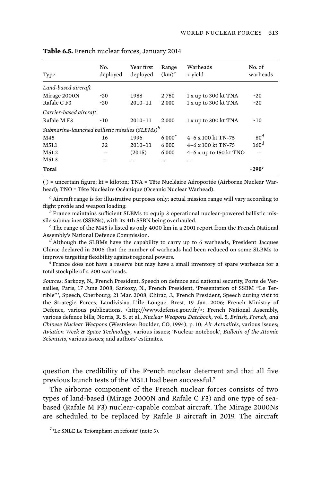| Type                                                       | No.<br>deployed | Year first<br>deployed | Range<br>$(km)^d$ | Warheads<br>x yield     | No. of<br>warheads |
|------------------------------------------------------------|-----------------|------------------------|-------------------|-------------------------|--------------------|
| Land-based aircraft                                        |                 |                        |                   |                         |                    |
| Mirage 2000N                                               | $-20$           | 1988                   | 2750              | 1 x up to 300 kt TNA    | $-20$              |
| Rafale C F3                                                | $-20$           | 2010-11                | 2000              | 1 x up to 300 kt TNA    | ~20                |
| Carrier-based aircraft                                     |                 |                        |                   |                         |                    |
| Rafale M F3                                                | $-10$           | $2010 - 11$            | 2000              | 1 x up to 300 kt TNA    | $-10$              |
| Submarine-launched ballistic missiles (SLBMs) <sup>b</sup> |                 |                        |                   |                         |                    |
| M45                                                        | 16              | 1996                   | 6000 <sup>c</sup> | 4-6 x 100 kt TN-75      | 80 <sup>d</sup>    |
| M51.1                                                      | 32              | 2010-11                | 6 0 0 0           | 4-6 x 100 kt TN-75      | 160 <sup>d</sup>   |
| M51.2                                                      |                 | (2015)                 | 6 0 0 0           | $4-6x$ up to 150 kt TNO |                    |
| M51.3                                                      |                 | . .                    | . .               | $\ddot{\phantom{0}}$    |                    |
| Total                                                      |                 |                        |                   |                         | ~290 $^e$          |

| Table 6.5. French nuclear forces, January 2014 |  |  |  |  |  |
|------------------------------------------------|--|--|--|--|--|
|------------------------------------------------|--|--|--|--|--|

( ) = uncertain figure; kt = kiloton; TNA = Tête Nucléaire Aéroportée (Airborne Nuclear Warhead); TNO = Tête Nucléaire Océanique (Oceanic Nuclear Warhead).

*a* Aircraft range is for illustrative purposes only; actual mission range will vary according to flight profile and weapon loading.

*b* France maintains sufficient SLBMs to equip 3 operational nuclear-powered ballistic missile submarines (SSBNs), with its 4th SSBN being overhauled.

*c* The range of the M45 is listed as only 4000 km in a 2001 report from the French National Assembly's National Defence Commission.

*d* Although the SLBMs have the capability to carry up to 6 warheads, President Jacques Chirac declared in 2006 that the number of warheads had been reduced on some SLBMs to improve targeting flexibility against regional powers.

*e* France does not have a reserve but may have a small inventory of spare warheads for a total stockpile of *c*. 300 warheads.

*Sources*: Sarkozy, N., French President, Speech on defence and national security, Porte de Versailles, Paris, 17 June 2008; Sarkozy, N., French President, 'Presentation of SSBM "Le Terrible" ', Speech, Cherbourg, 21 Mar. 2008; Chirac, J., French President, Speech during visit to the Strategic Forces, Landivisiau–L'Île Longue, Brest, 19 Jan. 2006; French Ministry of Defence, various publications, <http://www.defense.gouv.fr/>; French National Assembly, various defence bills; Norris, R. S. et al., *Nuclear Weapons Databook*, vol. 5, *British, French, and Chinese Nuclear Weapons* (Westview: Boulder, CO, 1994), p. 10; *Air Actualités*, various issues; *Aviation Week & Space Technology*, various issues; 'Nuclear notebook', *Bulletin of the Atomic Scientists*, various issues; and authors' estimates.

question the credibility of the French nuclear deterrent and that all five previous launch tests of the M51.1 had been successful.<sup>7</sup>

The airborne component of the French nuclear forces consists of two types of land-based (Mirage 2000N and Rafale C F3) and one type of seabased (Rafale M F3) nuclear-capable combat aircraft. The Mirage 2000Ns are scheduled to be replaced by Rafale B aircraft in 2019. The aircraft

7 'Le SNLE Le Triomphant en refonte' (note 3).